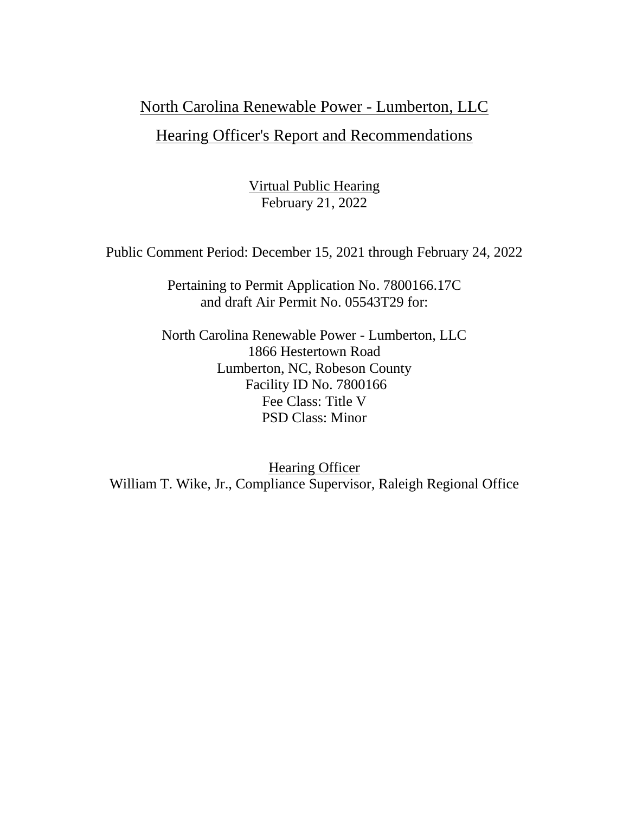# North Carolina Renewable Power - Lumberton, LLC

# Hearing Officer's Report and Recommendations

Virtual Public Hearing February 21, 2022

Public Comment Period: December 15, 2021 through February 24, 2022

Pertaining to Permit Application No. 7800166.17C and draft Air Permit No. 05543T29 for:

North Carolina Renewable Power - Lumberton, LLC 1866 Hestertown Road Lumberton, NC, Robeson County Facility ID No. 7800166 Fee Class: Title V PSD Class: Minor

**Hearing Officer** William T. Wike, Jr., Compliance Supervisor, Raleigh Regional Office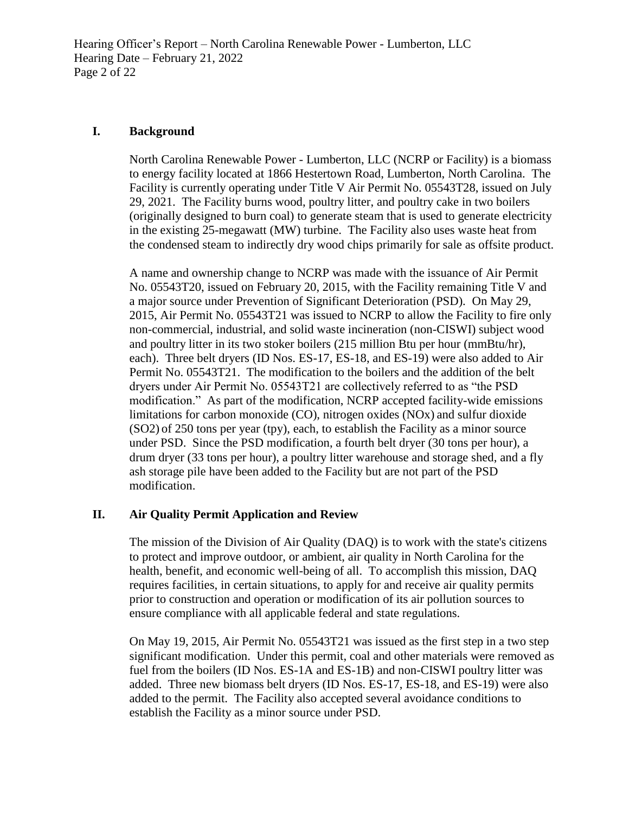Hearing Officer's Report – North Carolina Renewable Power - Lumberton, LLC Hearing Date – February 21, 2022 Page 2 of 22

### **I. Background**

North Carolina Renewable Power - Lumberton, LLC (NCRP or Facility) is a biomass to energy facility located at 1866 Hestertown Road, Lumberton, North Carolina. The Facility is currently operating under Title V Air Permit No. 05543T28, issued on July 29, 2021. The Facility burns wood, poultry litter, and poultry cake in two boilers (originally designed to burn coal) to generate steam that is used to generate electricity in the existing 25-megawatt (MW) turbine. The Facility also uses waste heat from the condensed steam to indirectly dry wood chips primarily for sale as offsite product.

A name and ownership change to NCRP was made with the issuance of Air Permit No. 05543T20, issued on February 20, 2015, with the Facility remaining Title V and a major source under Prevention of Significant Deterioration (PSD). On May 29, 2015, Air Permit No. 05543T21 was issued to NCRP to allow the Facility to fire only non-commercial, industrial, and solid waste incineration (non-CISWI) subject wood and poultry litter in its two stoker boilers (215 million Btu per hour (mmBtu/hr), each). Three belt dryers (ID Nos. ES-17, ES-18, and ES-19) were also added to Air Permit No. 05543T21. The modification to the boilers and the addition of the belt dryers under Air Permit No. 05543T21 are collectively referred to as "the PSD modification." As part of the modification, NCRP accepted facility-wide emissions limitations for carbon monoxide (CO), nitrogen oxides (NOx) and sulfur dioxide (SO2) of 250 tons per year (tpy), each, to establish the Facility as a minor source under PSD. Since the PSD modification, a fourth belt dryer (30 tons per hour), a drum dryer (33 tons per hour), a poultry litter warehouse and storage shed, and a fly ash storage pile have been added to the Facility but are not part of the PSD modification.

# **II. Air Quality Permit Application and Review**

The mission of the Division of Air Quality (DAQ) is to work with the state's citizens to protect and improve outdoor, or ambient, air quality in North Carolina for the health, benefit, and economic well-being of all. To accomplish this mission, DAQ requires facilities, in certain situations, to apply for and receive air quality permits prior to construction and operation or modification of its air pollution sources to ensure compliance with all applicable federal and state regulations.

On May 19, 2015, Air Permit No. 05543T21 was issued as the first step in a two step significant modification. Under this permit, coal and other materials were removed as fuel from the boilers (ID Nos. ES-1A and ES-1B) and non-CISWI poultry litter was added. Three new biomass belt dryers (ID Nos. ES-17, ES-18, and ES-19) were also added to the permit. The Facility also accepted several avoidance conditions to establish the Facility as a minor source under PSD.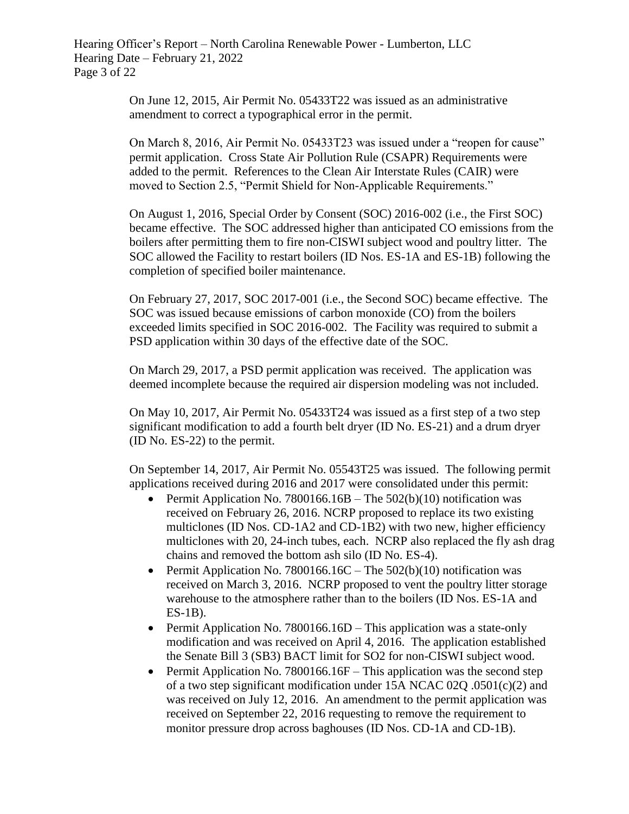Hearing Officer's Report – North Carolina Renewable Power - Lumberton, LLC Hearing Date – February 21, 2022 Page 3 of 22

> On June 12, 2015, Air Permit No. 05433T22 was issued as an administrative amendment to correct a typographical error in the permit.

On March 8, 2016, Air Permit No. 05433T23 was issued under a "reopen for cause" permit application. Cross State Air Pollution Rule (CSAPR) Requirements were added to the permit. References to the Clean Air Interstate Rules (CAIR) were moved to Section 2.5, "Permit Shield for Non-Applicable Requirements."

On August 1, 2016, Special Order by Consent (SOC) 2016-002 (i.e., the First SOC) became effective. The SOC addressed higher than anticipated CO emissions from the boilers after permitting them to fire non-CISWI subject wood and poultry litter. The SOC allowed the Facility to restart boilers (ID Nos. ES-1A and ES-1B) following the completion of specified boiler maintenance.

On February 27, 2017, SOC 2017-001 (i.e., the Second SOC) became effective. The SOC was issued because emissions of carbon monoxide (CO) from the boilers exceeded limits specified in SOC 2016-002. The Facility was required to submit a PSD application within 30 days of the effective date of the SOC.

On March 29, 2017, a PSD permit application was received. The application was deemed incomplete because the required air dispersion modeling was not included.

On May 10, 2017, Air Permit No. 05433T24 was issued as a first step of a two step significant modification to add a fourth belt dryer (ID No. ES-21) and a drum dryer (ID No. ES-22) to the permit.

On September 14, 2017, Air Permit No. 05543T25 was issued. The following permit applications received during 2016 and 2017 were consolidated under this permit:

- Permit Application No. 7800166.16B The  $502(b)(10)$  notification was received on February 26, 2016. NCRP proposed to replace its two existing multiclones (ID Nos. CD-1A2 and CD-1B2) with two new, higher efficiency multiclones with 20, 24-inch tubes, each. NCRP also replaced the fly ash drag chains and removed the bottom ash silo (ID No. ES-4).
- Permit Application No. 7800166.16C The  $502(b)(10)$  notification was received on March 3, 2016. NCRP proposed to vent the poultry litter storage warehouse to the atmosphere rather than to the boilers (ID Nos. ES-1A and ES-1B).
- Permit Application No. 7800166.16D This application was a state-only modification and was received on April 4, 2016. The application established the Senate Bill 3 (SB3) BACT limit for SO2 for non-CISWI subject wood.
- Permit Application No. 7800166.16F This application was the second step of a two step significant modification under 15A NCAC 02Q .0501(c)(2) and was received on July 12, 2016. An amendment to the permit application was received on September 22, 2016 requesting to remove the requirement to monitor pressure drop across baghouses (ID Nos. CD-1A and CD-1B).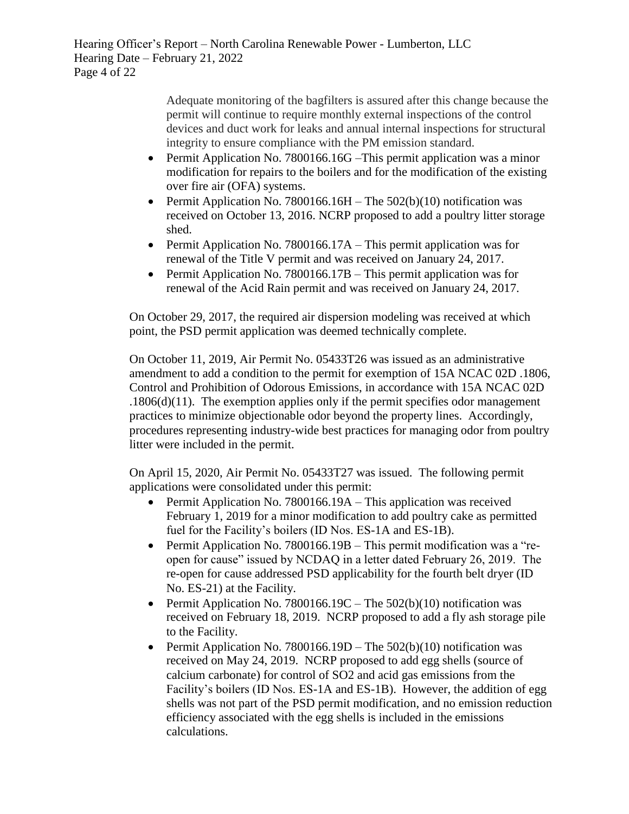Hearing Officer's Report – North Carolina Renewable Power - Lumberton, LLC Hearing Date – February 21, 2022 Page 4 of 22

> Adequate monitoring of the bagfilters is assured after this change because the permit will continue to require monthly external inspections of the control devices and duct work for leaks and annual internal inspections for structural integrity to ensure compliance with the PM emission standard.

- Permit Application No. 7800166.16G –This permit application was a minor modification for repairs to the boilers and for the modification of the existing over fire air (OFA) systems.
- **•** Permit Application No. 7800166.16H The  $502(b)(10)$  notification was received on October 13, 2016. NCRP proposed to add a poultry litter storage shed.
- Permit Application No. 7800166.17A This permit application was for renewal of the Title V permit and was received on January 24, 2017.
- Permit Application No. 7800166.17B This permit application was for renewal of the Acid Rain permit and was received on January 24, 2017.

On October 29, 2017, the required air dispersion modeling was received at which point, the PSD permit application was deemed technically complete.

On October 11, 2019, Air Permit No. 05433T26 was issued as an administrative amendment to add a condition to the permit for exemption of 15A NCAC 02D .1806, Control and Prohibition of Odorous Emissions, in accordance with 15A NCAC 02D .1806(d)(11). The exemption applies only if the permit specifies odor management practices to minimize objectionable odor beyond the property lines. Accordingly, procedures representing industry-wide best practices for managing odor from poultry litter were included in the permit.

On April 15, 2020, Air Permit No. 05433T27 was issued. The following permit applications were consolidated under this permit:

- Permit Application No. 7800166.19A This application was received February 1, 2019 for a minor modification to add poultry cake as permitted fuel for the Facility's boilers (ID Nos. ES-1A and ES-1B).
- Permit Application No. 7800166.19B This permit modification was a "reopen for cause" issued by NCDAQ in a letter dated February 26, 2019. The re-open for cause addressed PSD applicability for the fourth belt dryer (ID No. ES-21) at the Facility.
- Permit Application No. 7800166.19C The  $502(b)(10)$  notification was received on February 18, 2019. NCRP proposed to add a fly ash storage pile to the Facility.
- Permit Application No. 7800166.19D The  $502(b)(10)$  notification was received on May 24, 2019. NCRP proposed to add egg shells (source of calcium carbonate) for control of SO2 and acid gas emissions from the Facility's boilers (ID Nos. ES-1A and ES-1B). However, the addition of egg shells was not part of the PSD permit modification, and no emission reduction efficiency associated with the egg shells is included in the emissions calculations.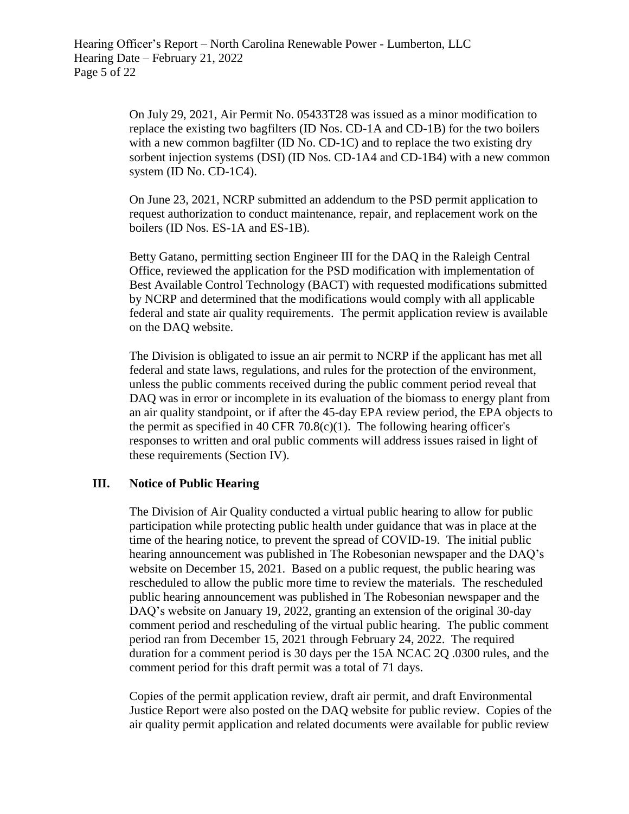On July 29, 2021, Air Permit No. 05433T28 was issued as a minor modification to replace the existing two bagfilters (ID Nos. CD-1A and CD-1B) for the two boilers with a new common bagfilter (ID No. CD-1C) and to replace the two existing dry sorbent injection systems (DSI) (ID Nos. CD-1A4 and CD-1B4) with a new common system (ID No. CD-1C4).

On June 23, 2021, NCRP submitted an addendum to the PSD permit application to request authorization to conduct maintenance, repair, and replacement work on the boilers (ID Nos. ES-1A and ES-1B).

Betty Gatano, permitting section Engineer III for the DAQ in the Raleigh Central Office, reviewed the application for the PSD modification with implementation of Best Available Control Technology (BACT) with requested modifications submitted by NCRP and determined that the modifications would comply with all applicable federal and state air quality requirements. The permit application review is available on the DAQ website.

The Division is obligated to issue an air permit to NCRP if the applicant has met all federal and state laws, regulations, and rules for the protection of the environment, unless the public comments received during the public comment period reveal that DAQ was in error or incomplete in its evaluation of the biomass to energy plant from an air quality standpoint, or if after the 45-day EPA review period, the EPA objects to the permit as specified in 40 CFR  $70.8(c)(1)$ . The following hearing officer's responses to written and oral public comments will address issues raised in light of these requirements (Section IV).

# **III. Notice of Public Hearing**

The Division of Air Quality conducted a virtual public hearing to allow for public participation while protecting public health under guidance that was in place at the time of the hearing notice, to prevent the spread of COVID-19. The initial public hearing announcement was published in The Robesonian newspaper and the DAQ's website on December 15, 2021. Based on a public request, the public hearing was rescheduled to allow the public more time to review the materials. The rescheduled public hearing announcement was published in The Robesonian newspaper and the DAQ's website on January 19, 2022, granting an extension of the original 30-day comment period and rescheduling of the virtual public hearing. The public comment period ran from December 15, 2021 through February 24, 2022. The required duration for a comment period is 30 days per the 15A NCAC 2Q .0300 rules, and the comment period for this draft permit was a total of 71 days.

Copies of the permit application review, draft air permit, and draft Environmental Justice Report were also posted on the DAQ website for public review. Copies of the air quality permit application and related documents were available for public review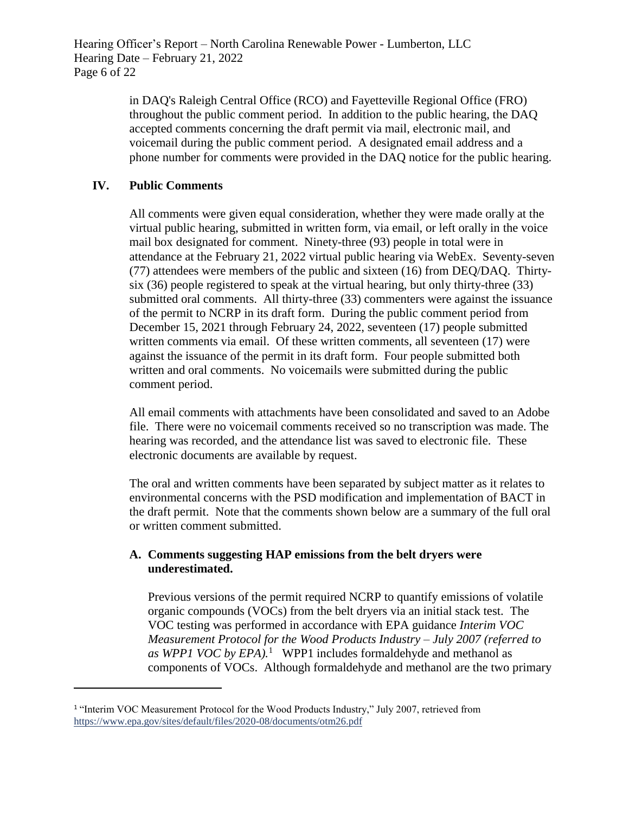in DAQ's Raleigh Central Office (RCO) and Fayetteville Regional Office (FRO) throughout the public comment period. In addition to the public hearing, the DAQ accepted comments concerning the draft permit via mail, electronic mail, and voicemail during the public comment period. A designated email address and a phone number for comments were provided in the DAQ notice for the public hearing.

# **IV. Public Comments**

l

All comments were given equal consideration, whether they were made orally at the virtual public hearing, submitted in written form, via email, or left orally in the voice mail box designated for comment. Ninety-three (93) people in total were in attendance at the February 21, 2022 virtual public hearing via WebEx. Seventy-seven (77) attendees were members of the public and sixteen (16) from DEQ/DAQ. Thirtysix (36) people registered to speak at the virtual hearing, but only thirty-three (33) submitted oral comments. All thirty-three (33) commenters were against the issuance of the permit to NCRP in its draft form. During the public comment period from December 15, 2021 through February 24, 2022, seventeen (17) people submitted written comments via email. Of these written comments, all seventeen (17) were against the issuance of the permit in its draft form. Four people submitted both written and oral comments. No voicemails were submitted during the public comment period.

All email comments with attachments have been consolidated and saved to an Adobe file. There were no voicemail comments received so no transcription was made. The hearing was recorded, and the attendance list was saved to electronic file. These electronic documents are available by request.

The oral and written comments have been separated by subject matter as it relates to environmental concerns with the PSD modification and implementation of BACT in the draft permit. Note that the comments shown below are a summary of the full oral or written comment submitted.

# **A. Comments suggesting HAP emissions from the belt dryers were underestimated.**

Previous versions of the permit required NCRP to quantify emissions of volatile organic compounds (VOCs) from the belt dryers via an initial stack test. The VOC testing was performed in accordance with EPA guidance *Interim VOC Measurement Protocol for the Wood Products Industry – July 2007 (referred to as WPP1 VOC by EPA).*<sup>1</sup> WPP1 includes formaldehyde and methanol as components of VOCs. Although formaldehyde and methanol are the two primary

<sup>&</sup>lt;sup>1</sup> "Interim VOC Measurement Protocol for the Wood Products Industry," July 2007, retrieved from <https://www.epa.gov/sites/default/files/2020-08/documents/otm26.pdf>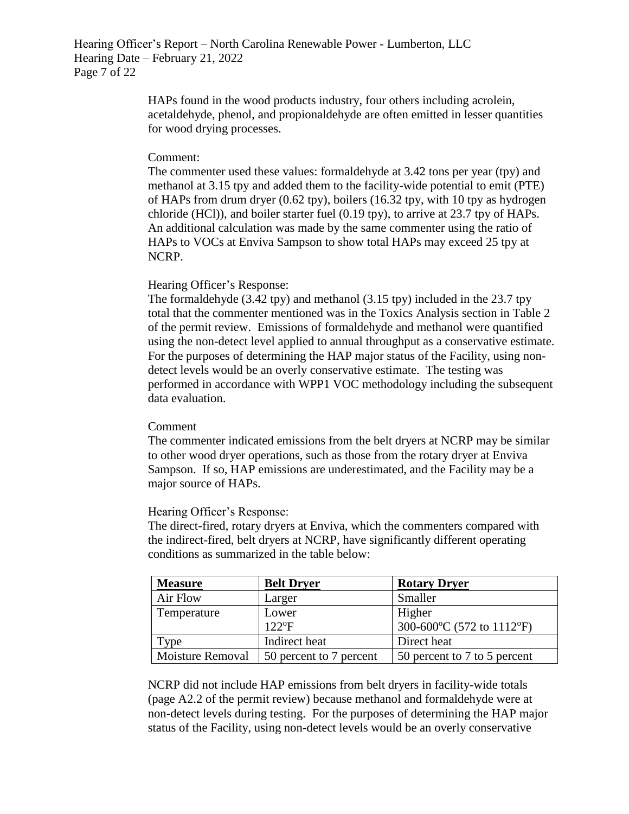Hearing Officer's Report – North Carolina Renewable Power - Lumberton, LLC Hearing Date – February 21, 2022 Page 7 of 22

> HAPs found in the wood products industry, four others including acrolein, acetaldehyde, phenol, and propionaldehyde are often emitted in lesser quantities for wood drying processes.

### Comment:

The commenter used these values: formaldehyde at 3.42 tons per year (tpy) and methanol at 3.15 tpy and added them to the facility-wide potential to emit (PTE) of HAPs from drum dryer (0.62 tpy), boilers (16.32 tpy, with 10 tpy as hydrogen chloride (HCl)), and boiler starter fuel (0.19 tpy), to arrive at 23.7 tpy of HAPs. An additional calculation was made by the same commenter using the ratio of HAPs to VOCs at Enviva Sampson to show total HAPs may exceed 25 tpy at NCRP.

# Hearing Officer's Response:

The formaldehyde (3.42 tpy) and methanol (3.15 tpy) included in the 23.7 tpy total that the commenter mentioned was in the Toxics Analysis section in Table 2 of the permit review. Emissions of formaldehyde and methanol were quantified using the non-detect level applied to annual throughput as a conservative estimate. For the purposes of determining the HAP major status of the Facility, using nondetect levels would be an overly conservative estimate. The testing was performed in accordance with WPP1 VOC methodology including the subsequent data evaluation.

# Comment

The commenter indicated emissions from the belt dryers at NCRP may be similar to other wood dryer operations, such as those from the rotary dryer at Enviva Sampson. If so, HAP emissions are underestimated, and the Facility may be a major source of HAPs.

# Hearing Officer's Response:

The direct-fired, rotary dryers at Enviva, which the commenters compared with the indirect-fired, belt dryers at NCRP, have significantly different operating conditions as summarized in the table below:

| <b>Measure</b>   | <b>Belt Dryer</b>       | <b>Rotary Dryer</b>          |
|------------------|-------------------------|------------------------------|
| Air Flow         | Larger                  | Smaller                      |
| Temperature      | Lower                   | Higher                       |
|                  | $122$ <sup>o</sup> F    | 300-600°C (572 to 1112°F)    |
| l ype            | Indirect heat           | Direct heat                  |
| Moisture Removal | 50 percent to 7 percent | 50 percent to 7 to 5 percent |

NCRP did not include HAP emissions from belt dryers in facility-wide totals (page A2.2 of the permit review) because methanol and formaldehyde were at non-detect levels during testing. For the purposes of determining the HAP major status of the Facility, using non-detect levels would be an overly conservative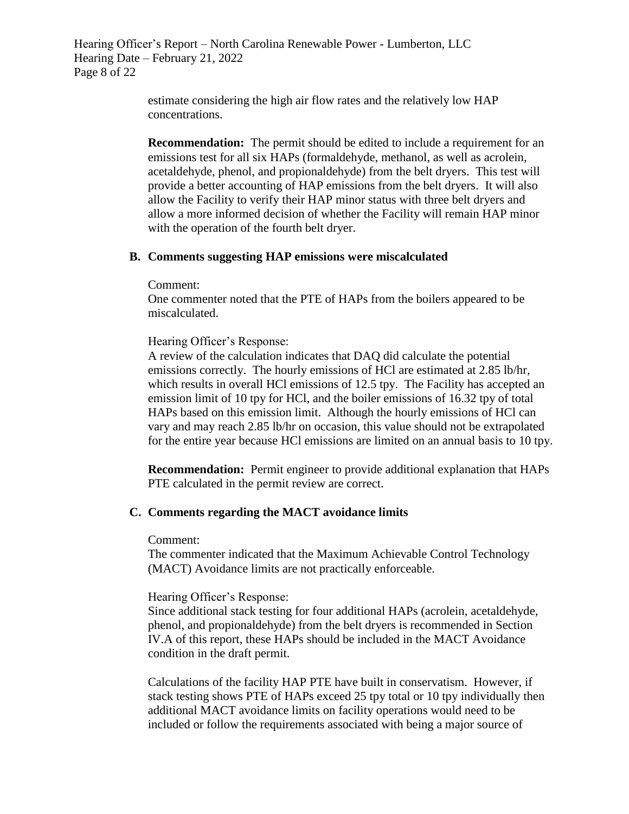Hearing Officer's Report – North Carolina Renewable Power - Lumberton, LLC Hearing Date – February 21, 2022 Page 8 of 22

> estimate considering the high air flow rates and the relatively low HAP concentrations.

**Recommendation:** The permit should be edited to include a requirement for an emissions test for all six HAPs (formaldehyde, methanol, as well as acrolein, acetaldehyde, phenol, and propionaldehyde) from the belt dryers. This test will provide a better accounting of HAP emissions from the belt dryers. It will also allow the Facility to verify their HAP minor status with three belt dryers and allow a more informed decision of whether the Facility will remain HAP minor with the operation of the fourth belt dryer.

# **B. Comments suggesting HAP emissions were miscalculated**

Comment:

One commenter noted that the PTE of HAPs from the boilers appeared to be miscalculated.

Hearing Officer's Response:

A review of the calculation indicates that DAQ did calculate the potential emissions correctly. The hourly emissions of HCl are estimated at 2.85 lb/hr, which results in overall HCl emissions of 12.5 tpy. The Facility has accepted an emission limit of 10 tpy for HCl, and the boiler emissions of 16.32 tpy of total HAPs based on this emission limit. Although the hourly emissions of HCl can vary and may reach 2.85 lb/hr on occasion, this value should not be extrapolated for the entire year because HCl emissions are limited on an annual basis to 10 tpy.

**Recommendation:** Permit engineer to provide additional explanation that HAPs PTE calculated in the permit review are correct.

# **C. Comments regarding the MACT avoidance limits**

Comment:

The commenter indicated that the Maximum Achievable Control Technology (MACT) Avoidance limits are not practically enforceable.

Hearing Officer's Response:

Since additional stack testing for four additional HAPs (acrolein, acetaldehyde, phenol, and propionaldehyde) from the belt dryers is recommended in Section IV.A of this report, these HAPs should be included in the MACT Avoidance condition in the draft permit.

Calculations of the facility HAP PTE have built in conservatism. However, if stack testing shows PTE of HAPs exceed 25 tpy total or 10 tpy individually then additional MACT avoidance limits on facility operations would need to be included or follow the requirements associated with being a major source of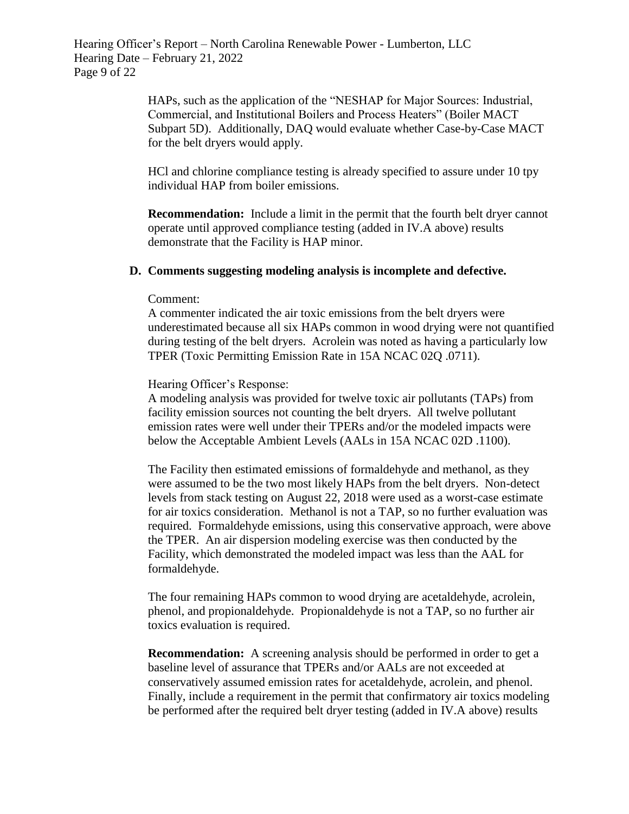Hearing Officer's Report – North Carolina Renewable Power - Lumberton, LLC Hearing Date – February 21, 2022 Page 9 of 22

> HAPs, such as the application of the "NESHAP for Major Sources: Industrial, Commercial, and Institutional Boilers and Process Heaters" (Boiler MACT Subpart 5D). Additionally, DAQ would evaluate whether Case-by-Case MACT for the belt dryers would apply.

HCl and chlorine compliance testing is already specified to assure under 10 tpy individual HAP from boiler emissions.

**Recommendation:** Include a limit in the permit that the fourth belt dryer cannot operate until approved compliance testing (added in IV.A above) results demonstrate that the Facility is HAP minor.

#### **D. Comments suggesting modeling analysis is incomplete and defective.**

#### Comment:

A commenter indicated the air toxic emissions from the belt dryers were underestimated because all six HAPs common in wood drying were not quantified during testing of the belt dryers. Acrolein was noted as having a particularly low TPER (Toxic Permitting Emission Rate in 15A NCAC 02Q .0711).

Hearing Officer's Response:

A modeling analysis was provided for twelve toxic air pollutants (TAPs) from facility emission sources not counting the belt dryers. All twelve pollutant emission rates were well under their TPERs and/or the modeled impacts were below the Acceptable Ambient Levels (AALs in 15A NCAC 02D .1100).

The Facility then estimated emissions of formaldehyde and methanol, as they were assumed to be the two most likely HAPs from the belt dryers. Non-detect levels from stack testing on August 22, 2018 were used as a worst-case estimate for air toxics consideration. Methanol is not a TAP, so no further evaluation was required. Formaldehyde emissions, using this conservative approach, were above the TPER. An air dispersion modeling exercise was then conducted by the Facility, which demonstrated the modeled impact was less than the AAL for formaldehyde.

The four remaining HAPs common to wood drying are acetaldehyde, acrolein, phenol, and propionaldehyde. Propionaldehyde is not a TAP, so no further air toxics evaluation is required.

**Recommendation:** A screening analysis should be performed in order to get a baseline level of assurance that TPERs and/or AALs are not exceeded at conservatively assumed emission rates for acetaldehyde, acrolein, and phenol. Finally, include a requirement in the permit that confirmatory air toxics modeling be performed after the required belt dryer testing (added in IV.A above) results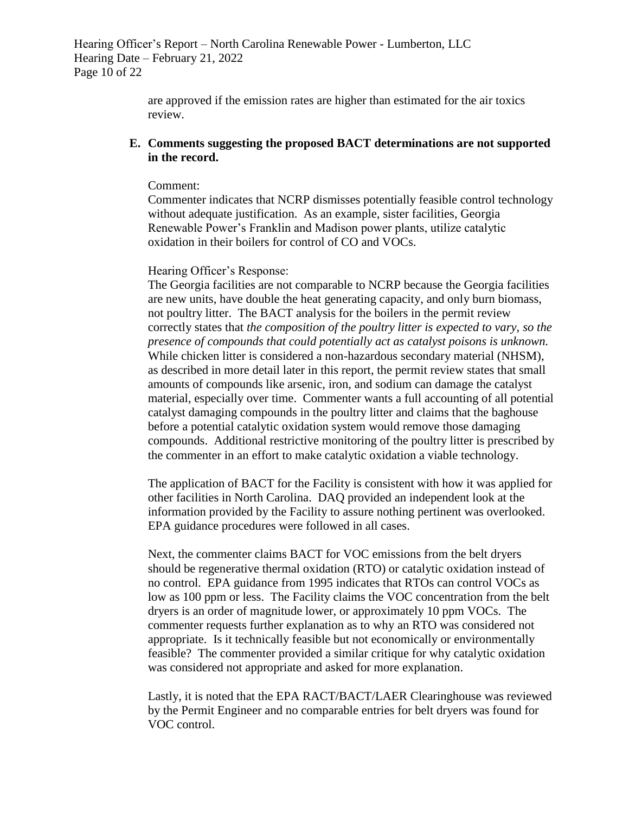Hearing Officer's Report – North Carolina Renewable Power - Lumberton, LLC Hearing Date – February 21, 2022 Page 10 of 22

> are approved if the emission rates are higher than estimated for the air toxics review.

### **E. Comments suggesting the proposed BACT determinations are not supported in the record.**

#### Comment:

Commenter indicates that NCRP dismisses potentially feasible control technology without adequate justification. As an example, sister facilities, Georgia Renewable Power's Franklin and Madison power plants, utilize catalytic oxidation in their boilers for control of CO and VOCs.

### Hearing Officer's Response:

The Georgia facilities are not comparable to NCRP because the Georgia facilities are new units, have double the heat generating capacity, and only burn biomass, not poultry litter. The BACT analysis for the boilers in the permit review correctly states that *the composition of the poultry litter is expected to vary, so the presence of compounds that could potentially act as catalyst poisons is unknown.* While chicken litter is considered a non-hazardous secondary material (NHSM), as described in more detail later in this report, the permit review states that small amounts of compounds like arsenic, iron, and sodium can damage the catalyst material, especially over time. Commenter wants a full accounting of all potential catalyst damaging compounds in the poultry litter and claims that the baghouse before a potential catalytic oxidation system would remove those damaging compounds. Additional restrictive monitoring of the poultry litter is prescribed by the commenter in an effort to make catalytic oxidation a viable technology.

The application of BACT for the Facility is consistent with how it was applied for other facilities in North Carolina. DAQ provided an independent look at the information provided by the Facility to assure nothing pertinent was overlooked. EPA guidance procedures were followed in all cases.

Next, the commenter claims BACT for VOC emissions from the belt dryers should be regenerative thermal oxidation (RTO) or catalytic oxidation instead of no control. EPA guidance from 1995 indicates that RTOs can control VOCs as low as 100 ppm or less. The Facility claims the VOC concentration from the belt dryers is an order of magnitude lower, or approximately 10 ppm VOCs. The commenter requests further explanation as to why an RTO was considered not appropriate. Is it technically feasible but not economically or environmentally feasible? The commenter provided a similar critique for why catalytic oxidation was considered not appropriate and asked for more explanation.

Lastly, it is noted that the EPA RACT/BACT/LAER Clearinghouse was reviewed by the Permit Engineer and no comparable entries for belt dryers was found for VOC control.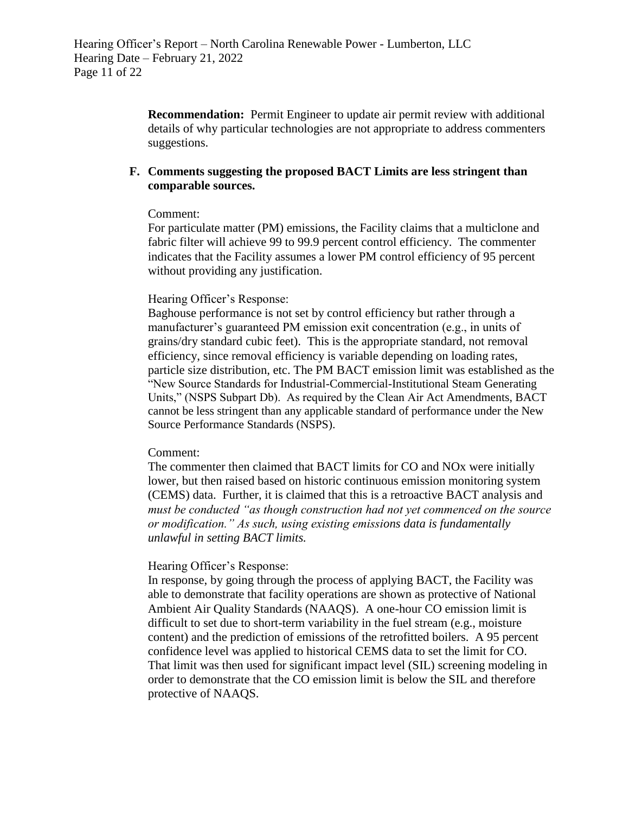**Recommendation:** Permit Engineer to update air permit review with additional details of why particular technologies are not appropriate to address commenters suggestions.

# **F. Comments suggesting the proposed BACT Limits are less stringent than comparable sources.**

# Comment:

For particulate matter (PM) emissions, the Facility claims that a multiclone and fabric filter will achieve 99 to 99.9 percent control efficiency. The commenter indicates that the Facility assumes a lower PM control efficiency of 95 percent without providing any justification.

# Hearing Officer's Response:

Baghouse performance is not set by control efficiency but rather through a manufacturer's guaranteed PM emission exit concentration (e.g., in units of grains/dry standard cubic feet). This is the appropriate standard, not removal efficiency, since removal efficiency is variable depending on loading rates, particle size distribution, etc. The PM BACT emission limit was established as the "New Source Standards for Industrial-Commercial-Institutional Steam Generating Units," (NSPS Subpart Db). As required by the Clean Air Act Amendments, BACT cannot be less stringent than any applicable standard of performance under the New Source Performance Standards (NSPS).

# Comment:

The commenter then claimed that BACT limits for CO and NOx were initially lower, but then raised based on historic continuous emission monitoring system (CEMS) data. Further, it is claimed that this is a retroactive BACT analysis and *must be conducted "as though construction had not yet commenced on the source or modification." As such, using existing emissions data is fundamentally unlawful in setting BACT limits.*

# Hearing Officer's Response:

In response, by going through the process of applying BACT, the Facility was able to demonstrate that facility operations are shown as protective of National Ambient Air Quality Standards (NAAQS). A one-hour CO emission limit is difficult to set due to short-term variability in the fuel stream (e.g., moisture content) and the prediction of emissions of the retrofitted boilers. A 95 percent confidence level was applied to historical CEMS data to set the limit for CO. That limit was then used for significant impact level (SIL) screening modeling in order to demonstrate that the CO emission limit is below the SIL and therefore protective of NAAQS.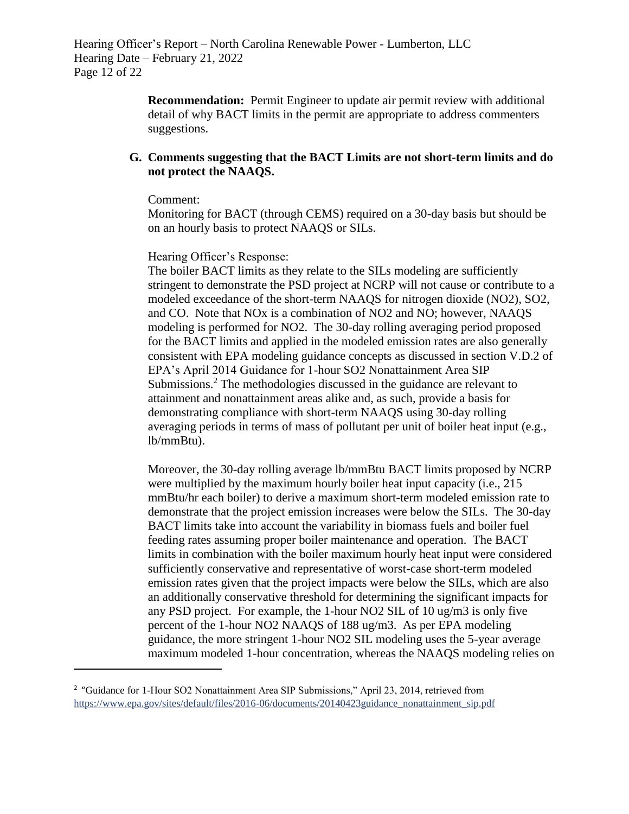Hearing Officer's Report – North Carolina Renewable Power - Lumberton, LLC Hearing Date – February 21, 2022 Page 12 of 22

> **Recommendation:** Permit Engineer to update air permit review with additional detail of why BACT limits in the permit are appropriate to address commenters suggestions.

# **G. Comments suggesting that the BACT Limits are not short-term limits and do not protect the NAAQS.**

Comment:

 $\overline{\phantom{a}}$ 

Monitoring for BACT (through CEMS) required on a 30-day basis but should be on an hourly basis to protect NAAQS or SILs.

#### Hearing Officer's Response:

The boiler BACT limits as they relate to the SILs modeling are sufficiently stringent to demonstrate the PSD project at NCRP will not cause or contribute to a modeled exceedance of the short-term NAAQS for nitrogen dioxide (NO2), SO2, and CO. Note that NOx is a combination of NO2 and NO; however, NAAQS modeling is performed for NO2. The 30-day rolling averaging period proposed for the BACT limits and applied in the modeled emission rates are also generally consistent with EPA modeling guidance concepts as discussed in section V.D.2 of EPA's April 2014 Guidance for 1-hour SO2 Nonattainment Area SIP Submissions.<sup>2</sup> The methodologies discussed in the guidance are relevant to attainment and nonattainment areas alike and, as such, provide a basis for demonstrating compliance with short-term NAAQS using 30-day rolling averaging periods in terms of mass of pollutant per unit of boiler heat input (e.g., lb/mmBtu).

Moreover, the 30-day rolling average lb/mmBtu BACT limits proposed by NCRP were multiplied by the maximum hourly boiler heat input capacity (i.e., 215 mmBtu/hr each boiler) to derive a maximum short-term modeled emission rate to demonstrate that the project emission increases were below the SILs. The 30-day BACT limits take into account the variability in biomass fuels and boiler fuel feeding rates assuming proper boiler maintenance and operation. The BACT limits in combination with the boiler maximum hourly heat input were considered sufficiently conservative and representative of worst-case short-term modeled emission rates given that the project impacts were below the SILs, which are also an additionally conservative threshold for determining the significant impacts for any PSD project. For example, the 1-hour NO2 SIL of 10 ug/m3 is only five percent of the 1-hour NO2 NAAQS of 188 ug/m3. As per EPA modeling guidance, the more stringent 1-hour NO2 SIL modeling uses the 5-year average maximum modeled 1-hour concentration, whereas the NAAQS modeling relies on

<sup>&</sup>lt;sup>2</sup> "Guidance for 1-Hour SO2 Nonattainment Area SIP Submissions," April 23, 2014, retrieved from [https://www.epa.gov/sites/default/files/2016-06/documents/20140423guidance\\_nonattainment\\_sip.pdf](https://www.epa.gov/sites/default/files/2016-06/documents/20140423guidance_nonattainment_sip.pdf)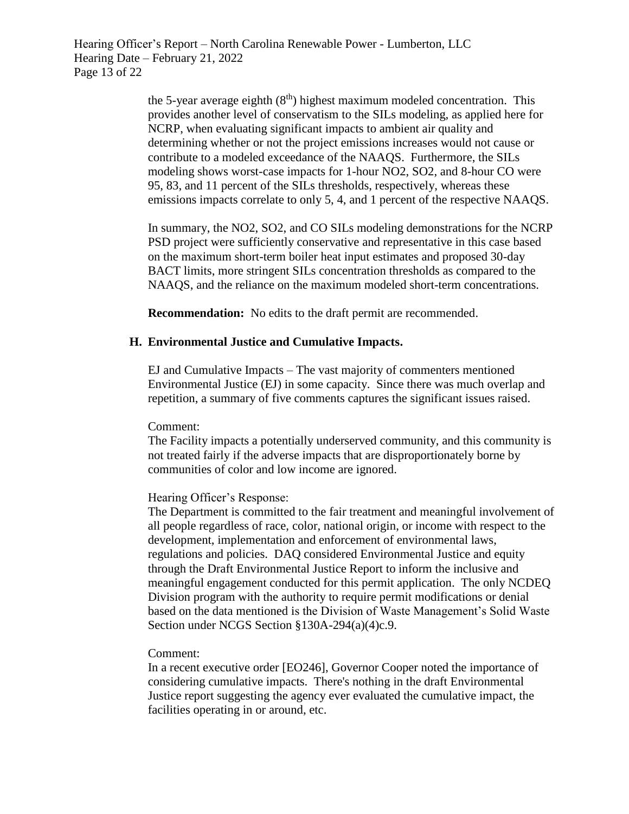Hearing Officer's Report – North Carolina Renewable Power - Lumberton, LLC Hearing Date – February 21, 2022 Page 13 of 22

> the 5-year average eighth  $(8<sup>th</sup>)$  highest maximum modeled concentration. This provides another level of conservatism to the SILs modeling, as applied here for NCRP, when evaluating significant impacts to ambient air quality and determining whether or not the project emissions increases would not cause or contribute to a modeled exceedance of the NAAQS. Furthermore, the SILs modeling shows worst-case impacts for 1-hour NO2, SO2, and 8-hour CO were 95, 83, and 11 percent of the SILs thresholds, respectively, whereas these emissions impacts correlate to only 5, 4, and 1 percent of the respective NAAQS.

In summary, the NO2, SO2, and CO SILs modeling demonstrations for the NCRP PSD project were sufficiently conservative and representative in this case based on the maximum short-term boiler heat input estimates and proposed 30-day BACT limits, more stringent SILs concentration thresholds as compared to the NAAQS, and the reliance on the maximum modeled short-term concentrations.

**Recommendation:** No edits to the draft permit are recommended.

# **H. Environmental Justice and Cumulative Impacts.**

EJ and Cumulative Impacts – The vast majority of commenters mentioned Environmental Justice (EJ) in some capacity. Since there was much overlap and repetition, a summary of five comments captures the significant issues raised.

Comment:

The Facility impacts a potentially underserved community, and this community is not treated fairly if the adverse impacts that are disproportionately borne by communities of color and low income are ignored.

#### Hearing Officer's Response:

The Department is committed to the fair treatment and meaningful involvement of all people regardless of race, color, national origin, or income with respect to the development, implementation and enforcement of environmental laws, regulations and policies. DAQ considered Environmental Justice and equity through the Draft Environmental Justice Report to inform the inclusive and meaningful engagement conducted for this permit application. The only NCDEQ Division program with the authority to require permit modifications or denial based on the data mentioned is the Division of Waste Management's Solid Waste Section under NCGS Section §130A-294(a)(4)c.9.

#### Comment:

In a recent executive order [EO246], Governor Cooper noted the importance of considering cumulative impacts. There's nothing in the draft Environmental Justice report suggesting the agency ever evaluated the cumulative impact, the facilities operating in or around, etc.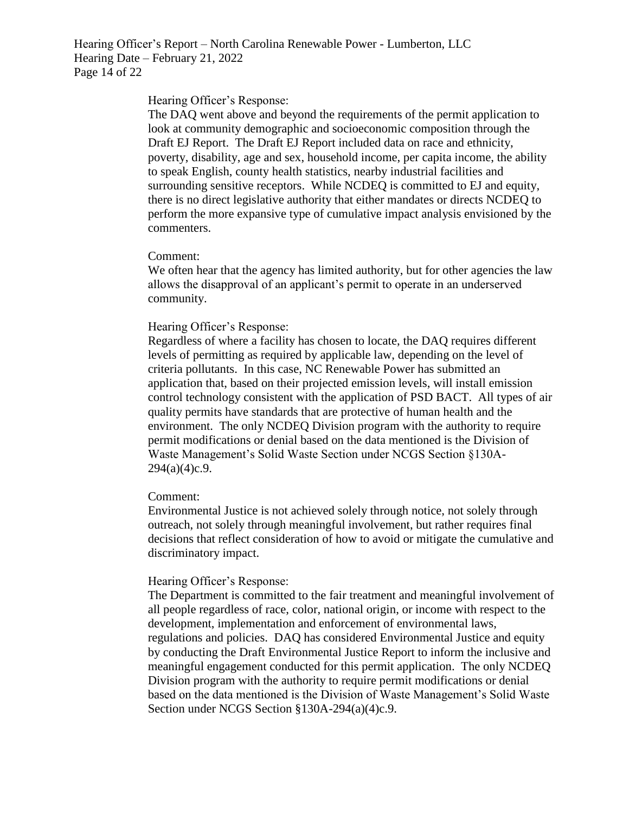Hearing Officer's Report – North Carolina Renewable Power - Lumberton, LLC Hearing Date – February 21, 2022 Page 14 of 22

#### Hearing Officer's Response:

The DAQ went above and beyond the requirements of the permit application to look at community demographic and socioeconomic composition through the Draft EJ Report. The Draft EJ Report included data on race and ethnicity, poverty, disability, age and sex, household income, per capita income, the ability to speak English, county health statistics, nearby industrial facilities and surrounding sensitive receptors. While NCDEQ is committed to EJ and equity, there is no direct legislative authority that either mandates or directs NCDEQ to perform the more expansive type of cumulative impact analysis envisioned by the commenters.

#### Comment:

We often hear that the agency has limited authority, but for other agencies the law allows the disapproval of an applicant's permit to operate in an underserved community.

#### Hearing Officer's Response:

Regardless of where a facility has chosen to locate, the DAQ requires different levels of permitting as required by applicable law, depending on the level of criteria pollutants. In this case, NC Renewable Power has submitted an application that, based on their projected emission levels, will install emission control technology consistent with the application of PSD BACT. All types of air quality permits have standards that are protective of human health and the environment. The only NCDEQ Division program with the authority to require permit modifications or denial based on the data mentioned is the Division of Waste Management's Solid Waste Section under NCGS Section §130A- $294(a)(4)c.9.$ 

#### Comment:

Environmental Justice is not achieved solely through notice, not solely through outreach, not solely through meaningful involvement, but rather requires final decisions that reflect consideration of how to avoid or mitigate the cumulative and discriminatory impact.

#### Hearing Officer's Response:

The Department is committed to the fair treatment and meaningful involvement of all people regardless of race, color, national origin, or income with respect to the development, implementation and enforcement of environmental laws, regulations and policies. DAQ has considered Environmental Justice and equity by conducting the Draft Environmental Justice Report to inform the inclusive and meaningful engagement conducted for this permit application. The only NCDEQ Division program with the authority to require permit modifications or denial based on the data mentioned is the Division of Waste Management's Solid Waste Section under NCGS Section §130A-294(a)(4)c.9.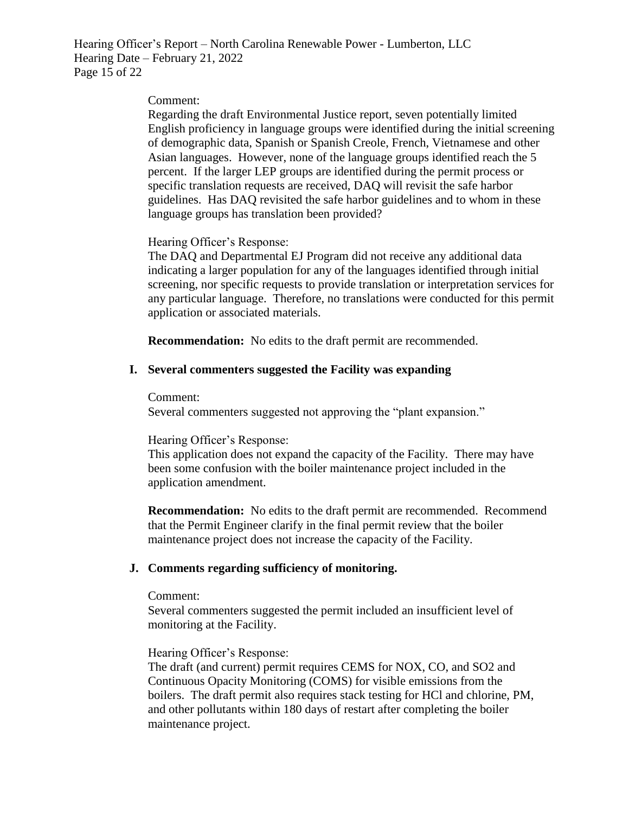Hearing Officer's Report – North Carolina Renewable Power - Lumberton, LLC Hearing Date – February 21, 2022 Page 15 of 22

#### Comment:

Regarding the draft Environmental Justice report, seven potentially limited English proficiency in language groups were identified during the initial screening of demographic data, Spanish or Spanish Creole, French, Vietnamese and other Asian languages. However, none of the language groups identified reach the 5 percent. If the larger LEP groups are identified during the permit process or specific translation requests are received, DAQ will revisit the safe harbor guidelines. Has DAQ revisited the safe harbor guidelines and to whom in these language groups has translation been provided?

### Hearing Officer's Response:

The DAQ and Departmental EJ Program did not receive any additional data indicating a larger population for any of the languages identified through initial screening, nor specific requests to provide translation or interpretation services for any particular language. Therefore, no translations were conducted for this permit application or associated materials.

**Recommendation:** No edits to the draft permit are recommended.

# **I. Several commenters suggested the Facility was expanding**

Comment:

Several commenters suggested not approving the "plant expansion."

# Hearing Officer's Response:

This application does not expand the capacity of the Facility. There may have been some confusion with the boiler maintenance project included in the application amendment.

**Recommendation:** No edits to the draft permit are recommended. Recommend that the Permit Engineer clarify in the final permit review that the boiler maintenance project does not increase the capacity of the Facility.

# **J. Comments regarding sufficiency of monitoring.**

#### Comment:

Several commenters suggested the permit included an insufficient level of monitoring at the Facility.

# Hearing Officer's Response:

The draft (and current) permit requires CEMS for NOX, CO, and SO2 and Continuous Opacity Monitoring (COMS) for visible emissions from the boilers. The draft permit also requires stack testing for HCl and chlorine, PM, and other pollutants within 180 days of restart after completing the boiler maintenance project.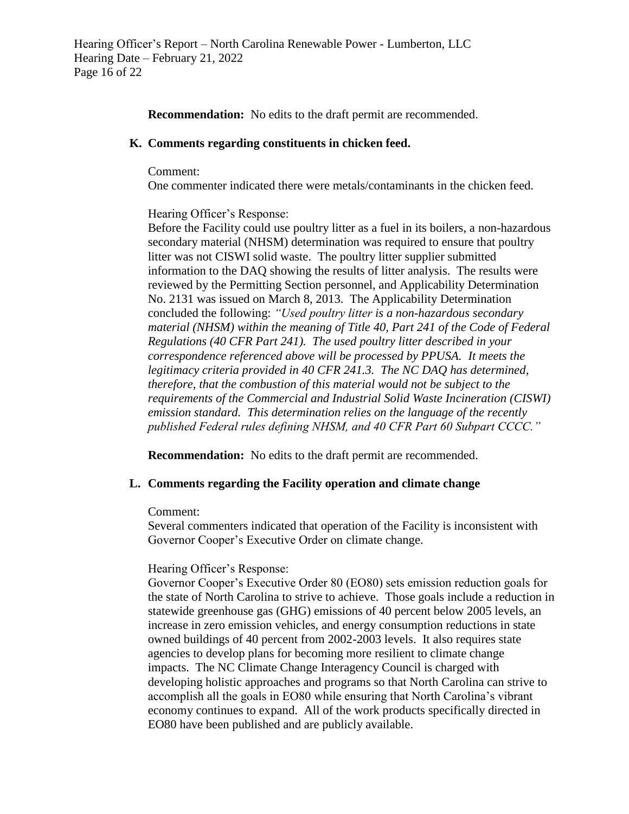# **Recommendation:** No edits to the draft permit are recommended.

#### **K. Comments regarding constituents in chicken feed.**

#### Comment:

One commenter indicated there were metals/contaminants in the chicken feed.

# Hearing Officer's Response:

Before the Facility could use poultry litter as a fuel in its boilers, a non-hazardous secondary material (NHSM) determination was required to ensure that poultry litter was not CISWI solid waste. The poultry litter supplier submitted information to the DAQ showing the results of litter analysis. The results were reviewed by the Permitting Section personnel, and Applicability Determination No. 2131 was issued on March 8, 2013. The Applicability Determination concluded the following: *"Used poultry litter is a non-hazardous secondary material (NHSM) within the meaning of Title 40, Part 241 of the Code of Federal Regulations (40 CFR Part 241). The used poultry litter described in your correspondence referenced above will be processed by PPUSA. It meets the legitimacy criteria provided in 40 CFR 241.3. The NC DAQ has determined, therefore, that the combustion of this material would not be subject to the requirements of the Commercial and Industrial Solid Waste Incineration (CISWI) emission standard. This determination relies on the language of the recently published Federal rules defining NHSM, and 40 CFR Part 60 Subpart CCCC."*

**Recommendation:** No edits to the draft permit are recommended.

# **L. Comments regarding the Facility operation and climate change**

# Comment:

Several commenters indicated that operation of the Facility is inconsistent with Governor Cooper's Executive Order on climate change.

# Hearing Officer's Response:

Governor Cooper's Executive Order 80 (EO80) sets emission reduction goals for the state of North Carolina to strive to achieve. Those goals include a reduction in statewide greenhouse gas (GHG) emissions of 40 percent below 2005 levels, an increase in zero emission vehicles, and energy consumption reductions in state owned buildings of 40 percent from 2002-2003 levels. It also requires state agencies to develop plans for becoming more resilient to climate change impacts. The NC Climate Change Interagency Council is charged with developing holistic approaches and programs so that North Carolina can strive to accomplish all the goals in EO80 while ensuring that North Carolina's vibrant economy continues to expand. All of the work products specifically directed in EO80 have been published and are publicly available.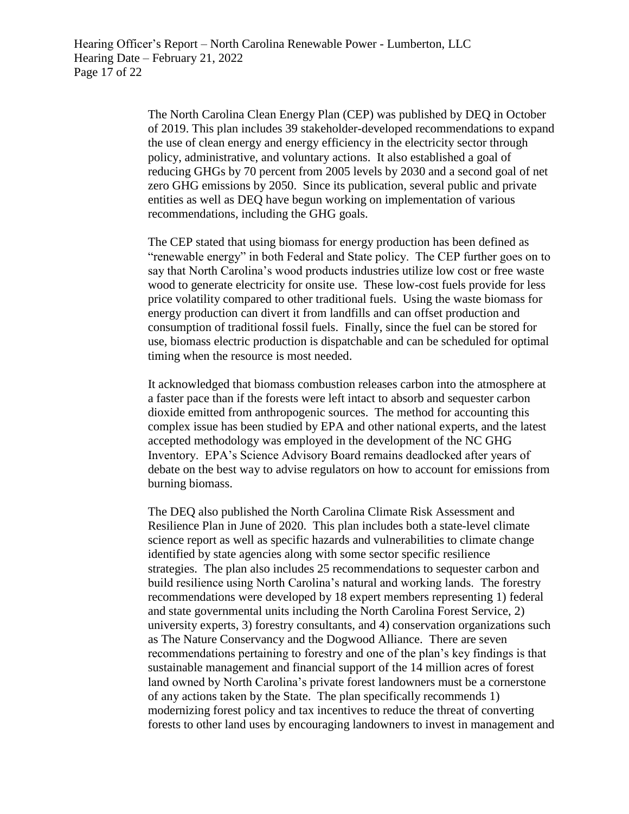The North Carolina Clean Energy Plan (CEP) was published by DEQ in October of 2019. This plan includes 39 stakeholder-developed recommendations to expand the use of clean energy and energy efficiency in the electricity sector through policy, administrative, and voluntary actions. It also established a goal of reducing GHGs by 70 percent from 2005 levels by 2030 and a second goal of net zero GHG emissions by 2050. Since its publication, several public and private entities as well as DEQ have begun working on implementation of various recommendations, including the GHG goals.

The CEP stated that using biomass for energy production has been defined as "renewable energy" in both Federal and State policy. The CEP further goes on to say that North Carolina's wood products industries utilize low cost or free waste wood to generate electricity for onsite use. These low-cost fuels provide for less price volatility compared to other traditional fuels. Using the waste biomass for energy production can divert it from landfills and can offset production and consumption of traditional fossil fuels. Finally, since the fuel can be stored for use, biomass electric production is dispatchable and can be scheduled for optimal timing when the resource is most needed.

It acknowledged that biomass combustion releases carbon into the atmosphere at a faster pace than if the forests were left intact to absorb and sequester carbon dioxide emitted from anthropogenic sources. The method for accounting this complex issue has been studied by EPA and other national experts, and the latest accepted methodology was employed in the development of the NC GHG Inventory. EPA's Science Advisory Board remains deadlocked after years of debate on the best way to advise regulators on how to account for emissions from burning biomass.

The DEQ also published the North Carolina Climate Risk Assessment and Resilience Plan in June of 2020. This plan includes both a state-level climate science report as well as specific hazards and vulnerabilities to climate change identified by state agencies along with some sector specific resilience strategies. The plan also includes 25 recommendations to sequester carbon and build resilience using North Carolina's natural and working lands. The forestry recommendations were developed by 18 expert members representing 1) federal and state governmental units including the North Carolina Forest Service, 2) university experts, 3) forestry consultants, and 4) conservation organizations such as The Nature Conservancy and the Dogwood Alliance. There are seven recommendations pertaining to forestry and one of the plan's key findings is that sustainable management and financial support of the 14 million acres of forest land owned by North Carolina's private forest landowners must be a cornerstone of any actions taken by the State. The plan specifically recommends 1) modernizing forest policy and tax incentives to reduce the threat of converting forests to other land uses by encouraging landowners to invest in management and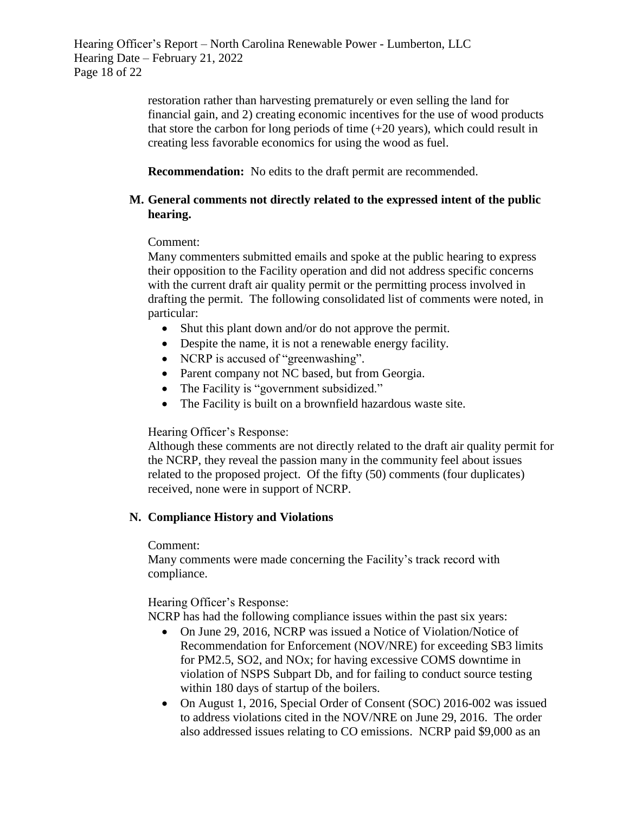restoration rather than harvesting prematurely or even selling the land for financial gain, and 2) creating economic incentives for the use of wood products that store the carbon for long periods of time  $(+20 \text{ years})$ , which could result in creating less favorable economics for using the wood as fuel.

**Recommendation:** No edits to the draft permit are recommended.

# **M. General comments not directly related to the expressed intent of the public hearing.**

Comment:

Many commenters submitted emails and spoke at the public hearing to express their opposition to the Facility operation and did not address specific concerns with the current draft air quality permit or the permitting process involved in drafting the permit. The following consolidated list of comments were noted, in particular:

- Shut this plant down and/or do not approve the permit.
- Despite the name, it is not a renewable energy facility.
- NCRP is accused of "greenwashing".
- Parent company not NC based, but from Georgia.
- The Facility is "government subsidized."
- The Facility is built on a brownfield hazardous waste site.

# Hearing Officer's Response:

Although these comments are not directly related to the draft air quality permit for the NCRP, they reveal the passion many in the community feel about issues related to the proposed project. Of the fifty (50) comments (four duplicates) received, none were in support of NCRP.

# **N. Compliance History and Violations**

# Comment:

Many comments were made concerning the Facility's track record with compliance.

Hearing Officer's Response:

NCRP has had the following compliance issues within the past six years:

- On June 29, 2016, NCRP was issued a Notice of Violation/Notice of Recommendation for Enforcement (NOV/NRE) for exceeding SB3 limits for PM2.5, SO2, and NOx; for having excessive COMS downtime in violation of NSPS Subpart Db, and for failing to conduct source testing within 180 days of startup of the boilers.
- On August 1, 2016, Special Order of Consent (SOC) 2016-002 was issued to address violations cited in the NOV/NRE on June 29, 2016. The order also addressed issues relating to CO emissions. NCRP paid \$9,000 as an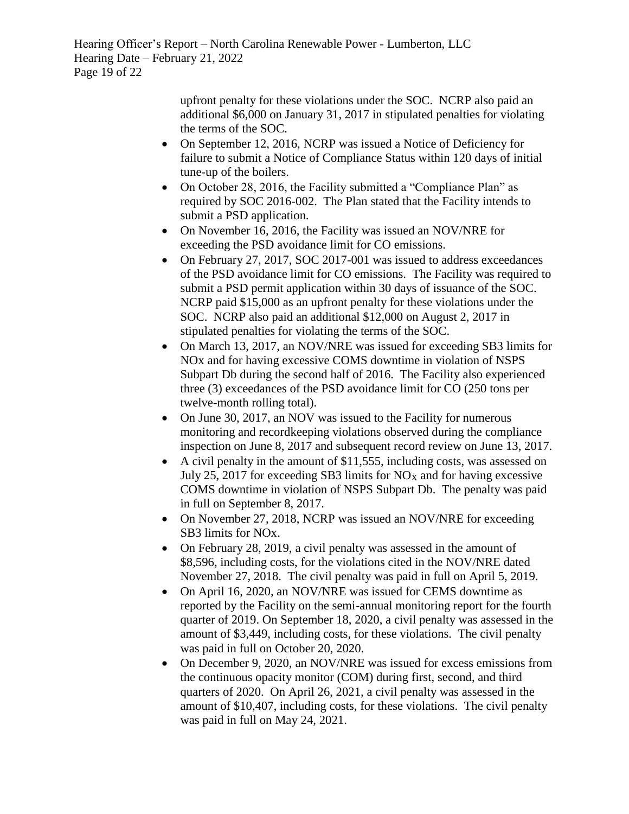Hearing Officer's Report – North Carolina Renewable Power - Lumberton, LLC Hearing Date – February 21, 2022 Page 19 of 22

> upfront penalty for these violations under the SOC. NCRP also paid an additional \$6,000 on January 31, 2017 in stipulated penalties for violating the terms of the SOC.

- On September 12, 2016, NCRP was issued a Notice of Deficiency for failure to submit a Notice of Compliance Status within 120 days of initial tune-up of the boilers.
- On October 28, 2016, the Facility submitted a "Compliance Plan" as required by SOC 2016-002. The Plan stated that the Facility intends to submit a PSD application.
- On November 16, 2016, the Facility was issued an NOV/NRE for exceeding the PSD avoidance limit for CO emissions.
- On February 27, 2017, SOC 2017-001 was issued to address exceedances of the PSD avoidance limit for CO emissions. The Facility was required to submit a PSD permit application within 30 days of issuance of the SOC. NCRP paid \$15,000 as an upfront penalty for these violations under the SOC. NCRP also paid an additional \$12,000 on August 2, 2017 in stipulated penalties for violating the terms of the SOC.
- On March 13, 2017, an NOV/NRE was issued for exceeding SB3 limits for NOx and for having excessive COMS downtime in violation of NSPS Subpart Db during the second half of 2016. The Facility also experienced three (3) exceedances of the PSD avoidance limit for CO (250 tons per twelve-month rolling total).
- On June 30, 2017, an NOV was issued to the Facility for numerous monitoring and recordkeeping violations observed during the compliance inspection on June 8, 2017 and subsequent record review on June 13, 2017.
- A civil penalty in the amount of \$11,555, including costs, was assessed on July 25, 2017 for exceeding SB3 limits for  $NO<sub>X</sub>$  and for having excessive COMS downtime in violation of NSPS Subpart Db. The penalty was paid in full on September 8, 2017.
- On November 27, 2018, NCRP was issued an NOV/NRE for exceeding SB3 limits for NOx.
- On February 28, 2019, a civil penalty was assessed in the amount of \$8,596, including costs, for the violations cited in the NOV/NRE dated November 27, 2018. The civil penalty was paid in full on April 5, 2019.
- On April 16, 2020, an NOV/NRE was issued for CEMS downtime as reported by the Facility on the semi-annual monitoring report for the fourth quarter of 2019. On September 18, 2020, a civil penalty was assessed in the amount of \$3,449, including costs, for these violations. The civil penalty was paid in full on October 20, 2020.
- On December 9, 2020, an NOV/NRE was issued for excess emissions from the continuous opacity monitor (COM) during first, second, and third quarters of 2020. On April 26, 2021, a civil penalty was assessed in the amount of \$10,407, including costs, for these violations. The civil penalty was paid in full on May 24, 2021.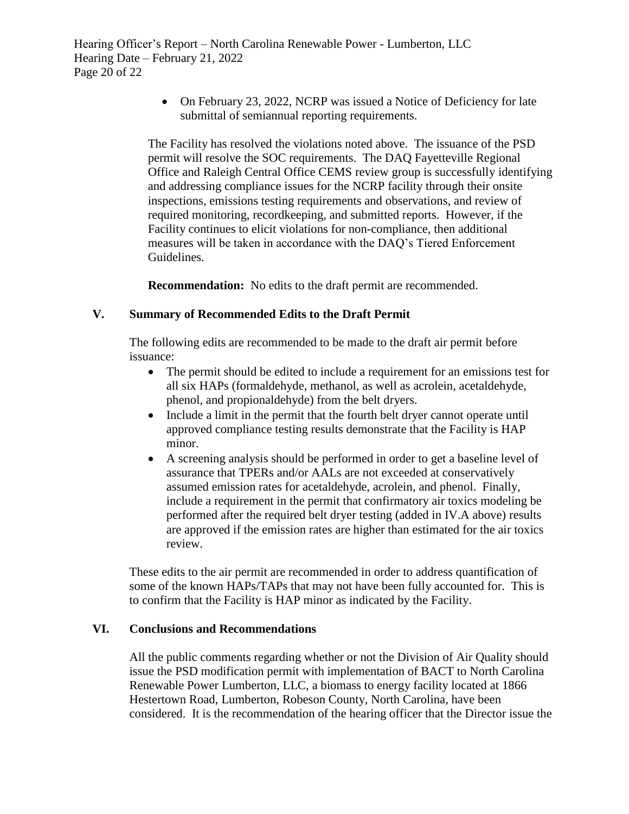• On February 23, 2022, NCRP was issued a Notice of Deficiency for late submittal of semiannual reporting requirements.

The Facility has resolved the violations noted above. The issuance of the PSD permit will resolve the SOC requirements. The DAQ Fayetteville Regional Office and Raleigh Central Office CEMS review group is successfully identifying and addressing compliance issues for the NCRP facility through their onsite inspections, emissions testing requirements and observations, and review of required monitoring, recordkeeping, and submitted reports. However, if the Facility continues to elicit violations for non-compliance, then additional measures will be taken in accordance with the DAQ's Tiered Enforcement Guidelines.

**Recommendation:** No edits to the draft permit are recommended.

# **V. Summary of Recommended Edits to the Draft Permit**

The following edits are recommended to be made to the draft air permit before issuance:

- The permit should be edited to include a requirement for an emissions test for all six HAPs (formaldehyde, methanol, as well as acrolein, acetaldehyde, phenol, and propionaldehyde) from the belt dryers.
- Include a limit in the permit that the fourth belt dryer cannot operate until approved compliance testing results demonstrate that the Facility is HAP minor.
- A screening analysis should be performed in order to get a baseline level of assurance that TPERs and/or AALs are not exceeded at conservatively assumed emission rates for acetaldehyde, acrolein, and phenol. Finally, include a requirement in the permit that confirmatory air toxics modeling be performed after the required belt dryer testing (added in IV.A above) results are approved if the emission rates are higher than estimated for the air toxics review.

These edits to the air permit are recommended in order to address quantification of some of the known HAPs/TAPs that may not have been fully accounted for. This is to confirm that the Facility is HAP minor as indicated by the Facility.

# **VI. Conclusions and Recommendations**

All the public comments regarding whether or not the Division of Air Quality should issue the PSD modification permit with implementation of BACT to North Carolina Renewable Power Lumberton, LLC, a biomass to energy facility located at 1866 Hestertown Road, Lumberton, Robeson County, North Carolina, have been considered. It is the recommendation of the hearing officer that the Director issue the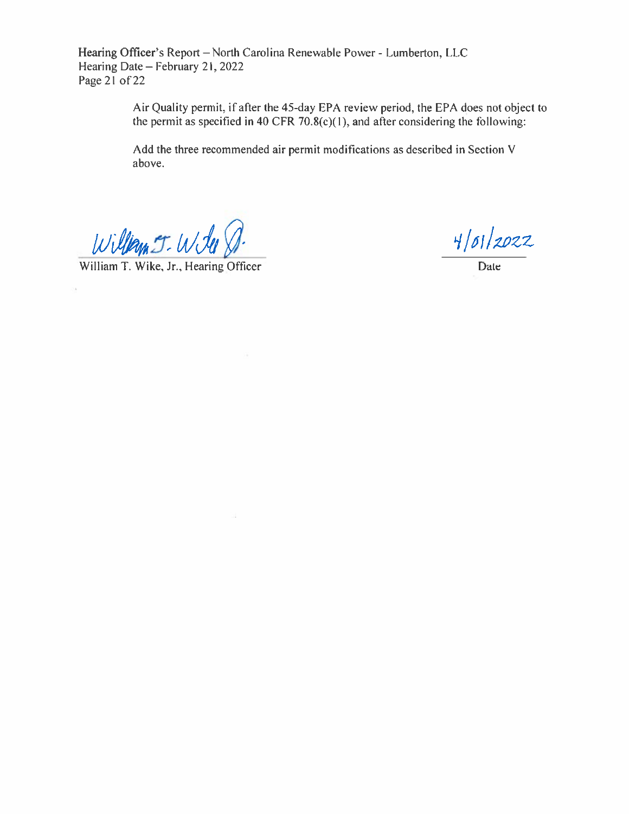Hearing Officer's Report - North Carolina Renewable Power - Lumberton, LLC Hearing Date - February 21, 2022 Page  $21$  of 22

> Air Quality permit, if after the 45-day EPA review period, the EPA does not object to the permit as specified in 40 CFR  $70.8(c)(1)$ , and after considering the following:

Add the three recommended air permit modifications as described in Section V above.

William J. Will

William T. Wike, Jr., Hearing Officer

пá

o.

 $4/01/2022$ 

Date